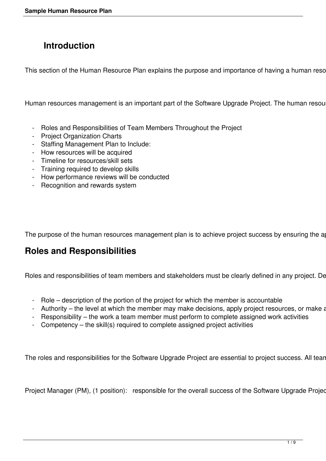# **Introduction**

This section of the Human Resource Plan explains the purpose and importance of having a human reso

Human resources management is an important part of the Software Upgrade Project. The human resou

- Roles and Responsibilities of Team Members Throughout the Project
- Project Organization Charts
- Staffing Management Plan to Include:
- How resources will be acquired
- Timeline for resources/skill sets
- Training required to develop skills
- How performance reviews will be conducted
- Recognition and rewards system

The purpose of the human resources management plan is to achieve project success by ensuring the a

### **Roles and Responsibilities**

Roles and responsibilities of team members and stakeholders must be clearly defined in any project. De

- Role description of the portion of the project for which the member is accountable
- Authority the level at which the member may make decisions, apply project resources, or make a
- Responsibility the work a team member must perform to complete assigned work activities
- Competency the skill(s) required to complete assigned project activities

The roles and responsibilities for the Software Upgrade Project are essential to project success. All tean

Project Manager (PM), (1 position): responsible for the overall success of the Software Upgrade Projed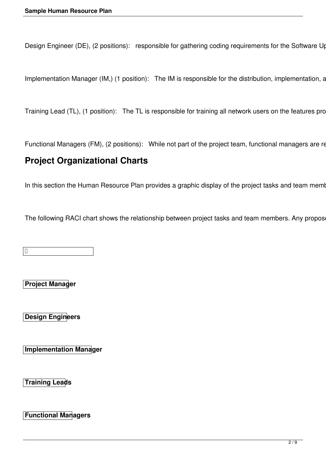Design Engineer (DE), (2 positions): responsible for gathering coding requirements for the Software Up

Implementation Manager (IM,) (1 position): The IM is responsible for the distribution, implementation, a

Training Lead (TL), (1 position): The TL is responsible for training all network users on the features pro

Functional Managers (FM), (2 positions): While not part of the project team, functional managers are re

#### **Project Organizational Charts**

In this section the Human Resource Plan provides a graphic display of the project tasks and team meml

The following RACI chart shows the relationship between project tasks and team members. Any propos

 $\vert \mathbb{D}$ 

**Project Manager** 

**Design Engineers** 

**Implementation Manager** 

**Training Leads** 

**Functional Managers**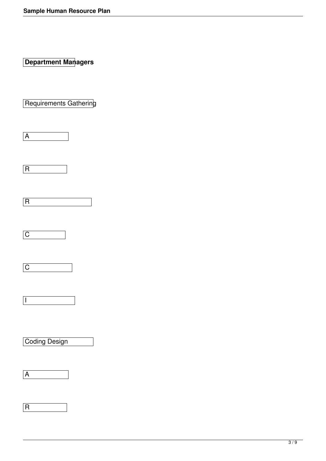**Department Managers** 

Requirements Gathering

A

R

 $\overline{C}$ 



 $\sqrt{1}$ 

Coding Design

A

R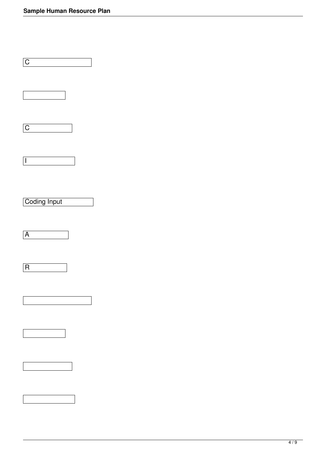$\overline{\phantom{a}}$ 

 $\label{eq:2.1} \frac{1}{\sqrt{2}}\left(\frac{1}{\sqrt{2}}\right)^{2} \left(\frac{1}{\sqrt{2}}\right)^{2} \left(\frac{1}{\sqrt{2}}\right)^{2} \left(\frac{1}{\sqrt{2}}\right)^{2} \left(\frac{1}{\sqrt{2}}\right)^{2} \left(\frac{1}{\sqrt{2}}\right)^{2} \left(\frac{1}{\sqrt{2}}\right)^{2} \left(\frac{1}{\sqrt{2}}\right)^{2} \left(\frac{1}{\sqrt{2}}\right)^{2} \left(\frac{1}{\sqrt{2}}\right)^{2} \left(\frac{1}{\sqrt{2}}\right)^{2} \left(\$ 

| $\mathsf C$              |
|--------------------------|
|                          |
| $\overline{C}$           |
| $\overline{\phantom{a}}$ |
| Coding Input             |
| $\overline{A}$           |
| $\overline{R}$           |
|                          |
|                          |
|                          |
|                          |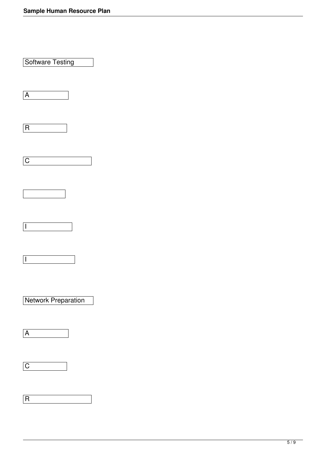| Software Testing         |  |  |
|--------------------------|--|--|
| $\overline{A}$           |  |  |
| $\overline{R}$           |  |  |
| $\overline{\mathsf{C}}$  |  |  |
|                          |  |  |
| İ                        |  |  |
| $\overline{\phantom{a}}$ |  |  |
| Network Preparation      |  |  |
| $\overline{A}$           |  |  |
| $\overline{C}$           |  |  |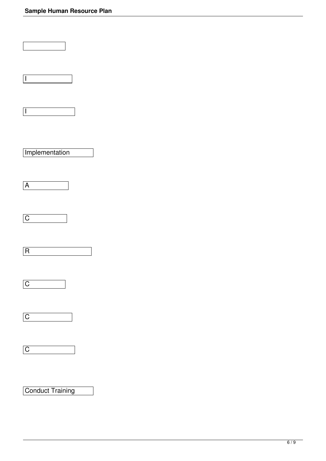| $\overline{\phantom{a}}$ |
|--------------------------|
| $\overline{\phantom{a}}$ |
| Implementation           |
| $\overline{A}$           |
| $\overline{C}$           |
| $\overline{\mathsf{R}}$  |
| $\overline{C}$           |
| $\overline{C}$           |
| $\boxed{C}$              |
|                          |

## Conduct Training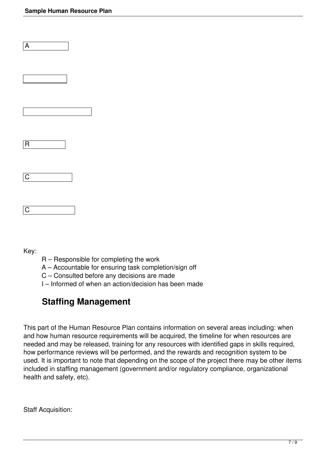| $\overline{\mathsf{R}}$ |  |
|-------------------------|--|
| $\boxed{\mathrm{C}}$    |  |
|                         |  |

Key:

 $|C|$ 

A

- R Responsible for completing the work
- A Accountable for ensuring task completion/sign off
- C Consulted before any decisions are made
- I Informed of when an action/decision has been made

# **Staffing Management**

This part of the Human Resource Plan contains information on several areas including: when and how human resource requirements will be acquired, the timeline for when resources are needed and may be released, training for any resources with identified gaps in skills required, how performance reviews will be performed, and the rewards and recognition system to be used. It is important to note that depending on the scope of the project there may be other items included in staffing management (government and/or regulatory compliance, organizational health and safety, etc).

Staff Acquisition: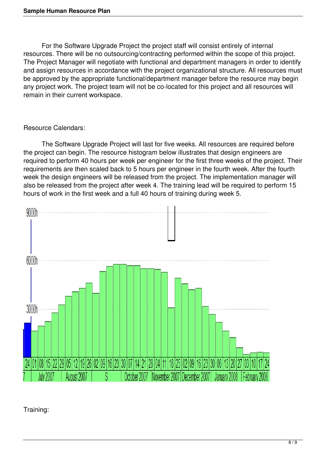For the Software Upgrade Project the project staff will consist entirely of internal resources. There will be no outsourcing/contracting performed within the scope of this project. The Project Manager will negotiate with functional and department managers in order to identify and assign resources in accordance with the project organizational structure. All resources must be approved by the appropriate functional/department manager before the resource may begin any project work. The project team will not be co-located for this project and all resources will remain in their current workspace.

#### Resource Calendars:

 The Software Upgrade Project will last for five weeks. All resources are required before the project can begin. The resource histogram below illustrates that design engineers are required to perform 40 hours per week per engineer for the first three weeks of the project. Their requirements are then scaled back to 5 hours per engineer in the fourth week. After the fourth week the design engineers will be released from the project. The implementation manager will also be released from the project after week 4. The training lead will be required to perform 15 hours of work in the first week and a full 40 hours of training during week 5.



Training: